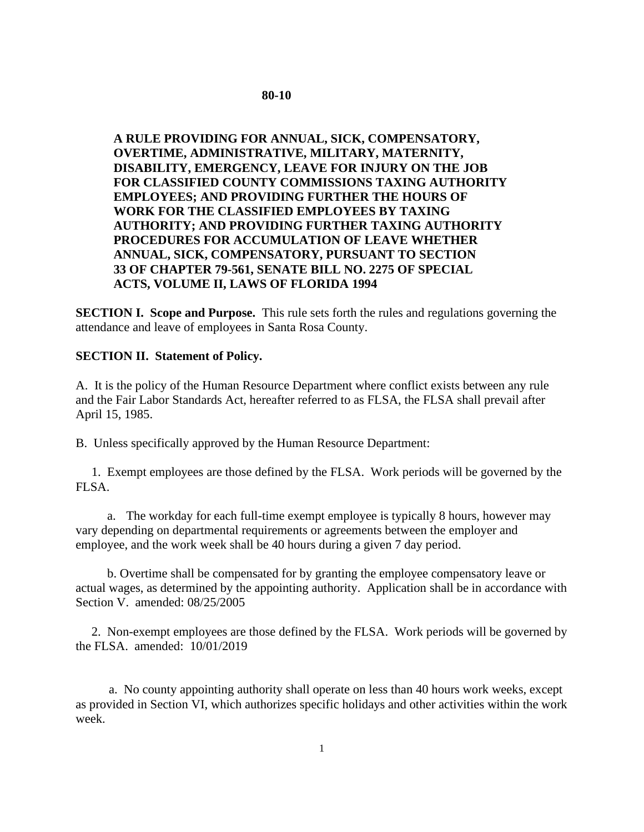## **80-10**

**A RULE PROVIDING FOR ANNUAL, SICK, COMPENSATORY, OVERTIME, ADMINISTRATIVE, MILITARY, MATERNITY, DISABILITY, EMERGENCY, LEAVE FOR INJURY ON THE JOB FOR CLASSIFIED COUNTY COMMISSIONS TAXING AUTHORITY EMPLOYEES; AND PROVIDING FURTHER THE HOURS OF WORK FOR THE CLASSIFIED EMPLOYEES BY TAXING AUTHORITY; AND PROVIDING FURTHER TAXING AUTHORITY PROCEDURES FOR ACCUMULATION OF LEAVE WHETHER ANNUAL, SICK, COMPENSATORY, PURSUANT TO SECTION 33 OF CHAPTER 79-561, SENATE BILL NO. 2275 OF SPECIAL ACTS, VOLUME II, LAWS OF FLORIDA 1994**

**SECTION I. Scope and Purpose.** This rule sets forth the rules and regulations governing the attendance and leave of employees in Santa Rosa County.

#### **SECTION II. Statement of Policy.**

A. It is the policy of the Human Resource Department where conflict exists between any rule and the Fair Labor Standards Act, hereafter referred to as FLSA, the FLSA shall prevail after April 15, 1985.

B. Unless specifically approved by the Human Resource Department:

 1. Exempt employees are those defined by the FLSA. Work periods will be governed by the FLSA.

a. The workday for each full-time exempt employee is typically 8 hours, however may vary depending on departmental requirements or agreements between the employer and employee, and the work week shall be 40 hours during a given 7 day period.

 b. Overtime shall be compensated for by granting the employee compensatory leave or actual wages, as determined by the appointing authority. Application shall be in accordance with Section V. amended: 08/25/2005

 2. Non-exempt employees are those defined by the FLSA. Work periods will be governed by the FLSA. amended: 10/01/2019

a. No county appointing authority shall operate on less than 40 hours work weeks, except as provided in Section VI, which authorizes specific holidays and other activities within the work week.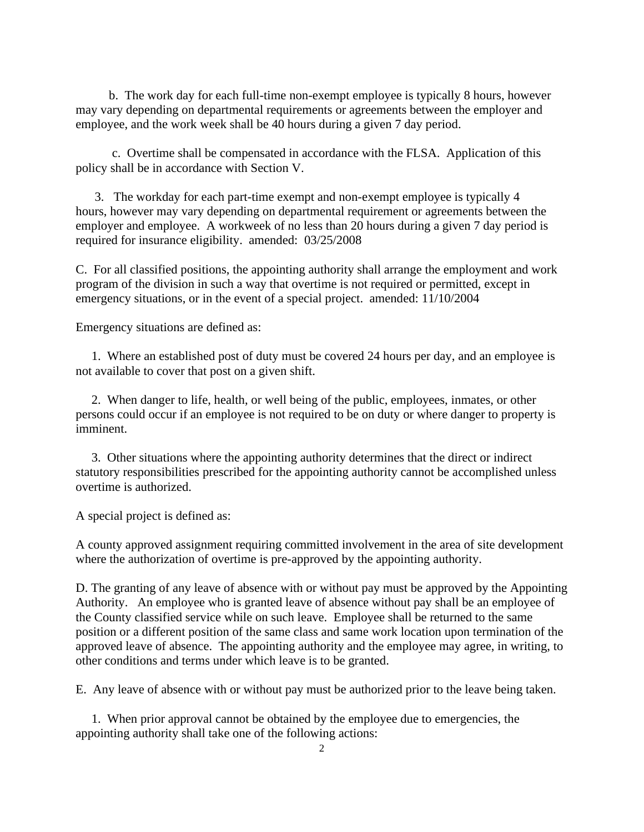b. The work day for each full-time non-exempt employee is typically 8 hours, however may vary depending on departmental requirements or agreements between the employer and employee, and the work week shall be 40 hours during a given 7 day period.

c. Overtime shall be compensated in accordance with the FLSA. Application of this policy shall be in accordance with Section V.

3. The workday for each part-time exempt and non-exempt employee is typically 4 hours, however may vary depending on departmental requirement or agreements between the employer and employee. A workweek of no less than 20 hours during a given 7 day period is required for insurance eligibility. amended: 03/25/2008

C. For all classified positions, the appointing authority shall arrange the employment and work program of the division in such a way that overtime is not required or permitted, except in emergency situations, or in the event of a special project. amended: 11/10/2004

Emergency situations are defined as:

 1. Where an established post of duty must be covered 24 hours per day, and an employee is not available to cover that post on a given shift.

 2. When danger to life, health, or well being of the public, employees, inmates, or other persons could occur if an employee is not required to be on duty or where danger to property is imminent.

 3. Other situations where the appointing authority determines that the direct or indirect statutory responsibilities prescribed for the appointing authority cannot be accomplished unless overtime is authorized.

A special project is defined as:

A county approved assignment requiring committed involvement in the area of site development where the authorization of overtime is pre-approved by the appointing authority.

D. The granting of any leave of absence with or without pay must be approved by the Appointing Authority. An employee who is granted leave of absence without pay shall be an employee of the County classified service while on such leave. Employee shall be returned to the same position or a different position of the same class and same work location upon termination of the approved leave of absence. The appointing authority and the employee may agree, in writing, to other conditions and terms under which leave is to be granted.

E. Any leave of absence with or without pay must be authorized prior to the leave being taken.

 1. When prior approval cannot be obtained by the employee due to emergencies, the appointing authority shall take one of the following actions: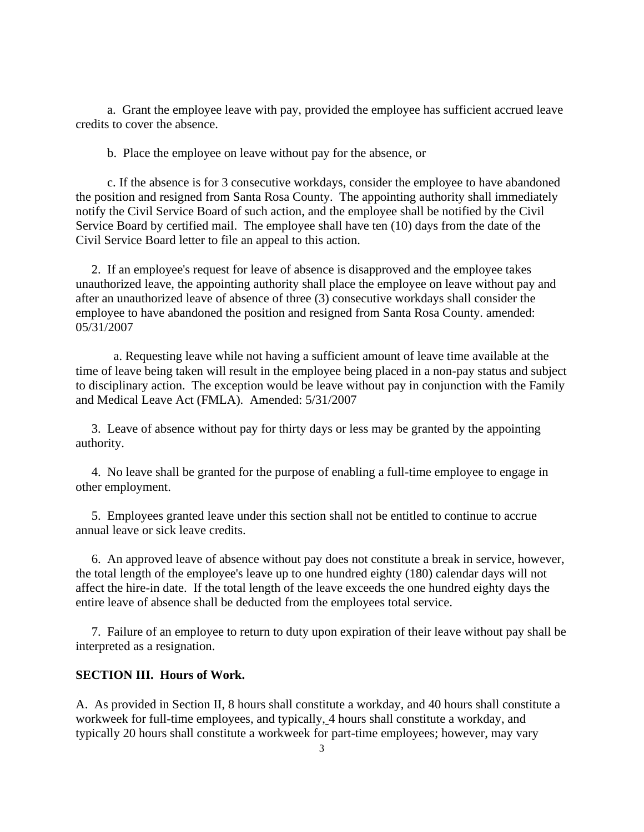a. Grant the employee leave with pay, provided the employee has sufficient accrued leave credits to cover the absence.

b. Place the employee on leave without pay for the absence, or

 c. If the absence is for 3 consecutive workdays, consider the employee to have abandoned the position and resigned from Santa Rosa County. The appointing authority shall immediately notify the Civil Service Board of such action, and the employee shall be notified by the Civil Service Board by certified mail. The employee shall have ten (10) days from the date of the Civil Service Board letter to file an appeal to this action.

 2. If an employee's request for leave of absence is disapproved and the employee takes unauthorized leave, the appointing authority shall place the employee on leave without pay and after an unauthorized leave of absence of three (3) consecutive workdays shall consider the employee to have abandoned the position and resigned from Santa Rosa County. amended: 05/31/2007

a. Requesting leave while not having a sufficient amount of leave time available at the time of leave being taken will result in the employee being placed in a non-pay status and subject to disciplinary action. The exception would be leave without pay in conjunction with the Family and Medical Leave Act (FMLA). Amended: 5/31/2007

 3. Leave of absence without pay for thirty days or less may be granted by the appointing authority.

 4. No leave shall be granted for the purpose of enabling a full-time employee to engage in other employment.

 5. Employees granted leave under this section shall not be entitled to continue to accrue annual leave or sick leave credits.

 6. An approved leave of absence without pay does not constitute a break in service, however, the total length of the employee's leave up to one hundred eighty (180) calendar days will not affect the hire-in date. If the total length of the leave exceeds the one hundred eighty days the entire leave of absence shall be deducted from the employees total service.

 7. Failure of an employee to return to duty upon expiration of their leave without pay shall be interpreted as a resignation.

## **SECTION III. Hours of Work.**

A. As provided in Section II, 8 hours shall constitute a workday, and 40 hours shall constitute a workweek for full-time employees, and typically, 4 hours shall constitute a workday, and typically 20 hours shall constitute a workweek for part-time employees; however, may vary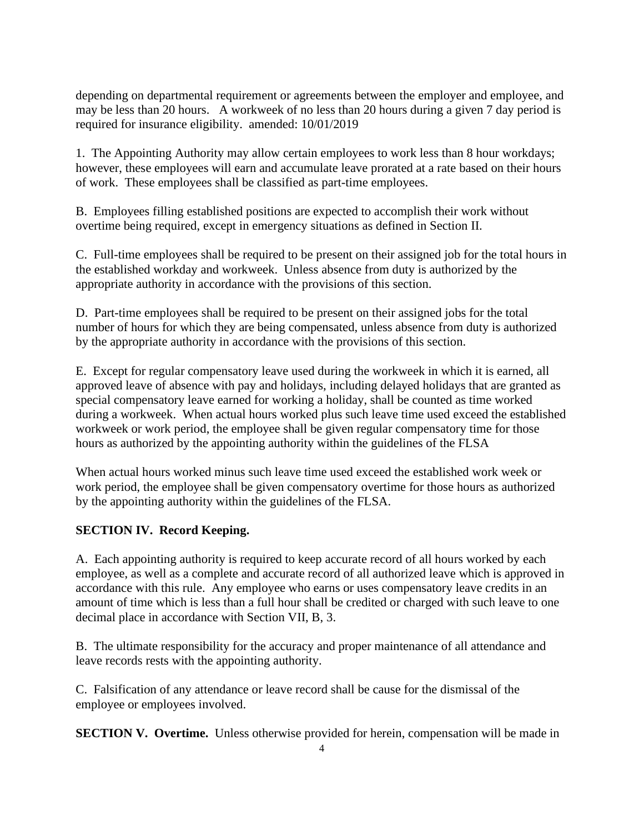depending on departmental requirement or agreements between the employer and employee, and may be less than 20 hours. A workweek of no less than 20 hours during a given 7 day period is required for insurance eligibility. amended: 10/01/2019

1. The Appointing Authority may allow certain employees to work less than 8 hour workdays; however, these employees will earn and accumulate leave prorated at a rate based on their hours of work. These employees shall be classified as part-time employees.

B. Employees filling established positions are expected to accomplish their work without overtime being required, except in emergency situations as defined in Section II.

C. Full-time employees shall be required to be present on their assigned job for the total hours in the established workday and workweek. Unless absence from duty is authorized by the appropriate authority in accordance with the provisions of this section.

D. Part-time employees shall be required to be present on their assigned jobs for the total number of hours for which they are being compensated, unless absence from duty is authorized by the appropriate authority in accordance with the provisions of this section.

E. Except for regular compensatory leave used during the workweek in which it is earned, all approved leave of absence with pay and holidays, including delayed holidays that are granted as special compensatory leave earned for working a holiday, shall be counted as time worked during a workweek. When actual hours worked plus such leave time used exceed the established workweek or work period, the employee shall be given regular compensatory time for those hours as authorized by the appointing authority within the guidelines of the FLSA

When actual hours worked minus such leave time used exceed the established work week or work period, the employee shall be given compensatory overtime for those hours as authorized by the appointing authority within the guidelines of the FLSA.

# **SECTION IV. Record Keeping.**

A. Each appointing authority is required to keep accurate record of all hours worked by each employee, as well as a complete and accurate record of all authorized leave which is approved in accordance with this rule. Any employee who earns or uses compensatory leave credits in an amount of time which is less than a full hour shall be credited or charged with such leave to one decimal place in accordance with Section VII, B, 3.

B. The ultimate responsibility for the accuracy and proper maintenance of all attendance and leave records rests with the appointing authority.

C. Falsification of any attendance or leave record shall be cause for the dismissal of the employee or employees involved.

**SECTION V. Overtime.** Unless otherwise provided for herein, compensation will be made in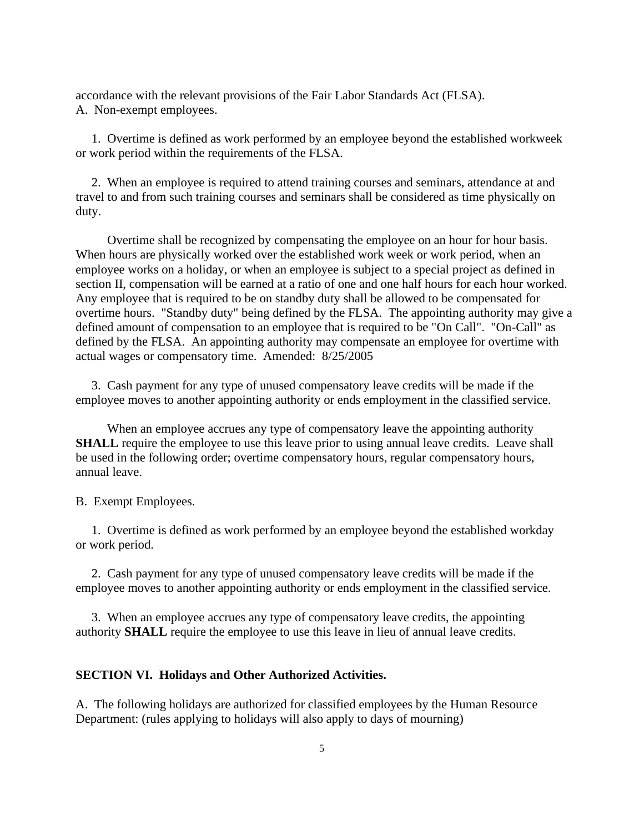accordance with the relevant provisions of the Fair Labor Standards Act (FLSA). A. Non-exempt employees.

 1. Overtime is defined as work performed by an employee beyond the established workweek or work period within the requirements of the FLSA.

 2. When an employee is required to attend training courses and seminars, attendance at and travel to and from such training courses and seminars shall be considered as time physically on duty.

 Overtime shall be recognized by compensating the employee on an hour for hour basis. When hours are physically worked over the established work week or work period, when an employee works on a holiday, or when an employee is subject to a special project as defined in section II, compensation will be earned at a ratio of one and one half hours for each hour worked. Any employee that is required to be on standby duty shall be allowed to be compensated for overtime hours. "Standby duty" being defined by the FLSA. The appointing authority may give a defined amount of compensation to an employee that is required to be "On Call". "On-Call" as defined by the FLSA. An appointing authority may compensate an employee for overtime with actual wages or compensatory time. Amended: 8/25/2005

 3. Cash payment for any type of unused compensatory leave credits will be made if the employee moves to another appointing authority or ends employment in the classified service.

 When an employee accrues any type of compensatory leave the appointing authority **SHALL** require the employee to use this leave prior to using annual leave credits. Leave shall be used in the following order; overtime compensatory hours, regular compensatory hours, annual leave.

B. Exempt Employees.

 1. Overtime is defined as work performed by an employee beyond the established workday or work period.

 2. Cash payment for any type of unused compensatory leave credits will be made if the employee moves to another appointing authority or ends employment in the classified service.

 3. When an employee accrues any type of compensatory leave credits, the appointing authority **SHALL** require the employee to use this leave in lieu of annual leave credits.

### **SECTION VI. Holidays and Other Authorized Activities.**

A. The following holidays are authorized for classified employees by the Human Resource Department: (rules applying to holidays will also apply to days of mourning)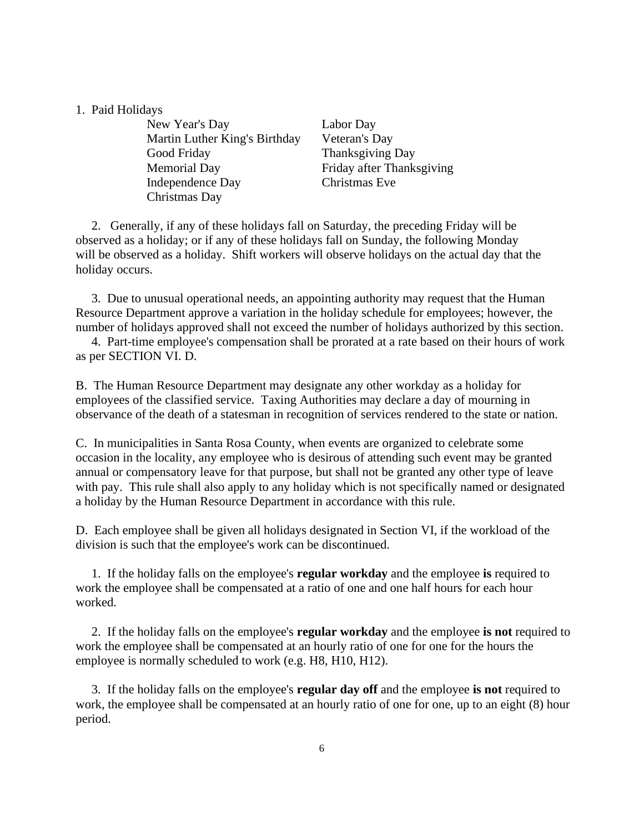### 1. Paid Holidays

New Year's Day Labor Day Martin Luther King's Birthday Veteran's Day Good Friday Thanksgiving Day Memorial Day Friday after Thanksgiving Independence Day Christmas Eve Christmas Day

2. Generally, if any of these holidays fall on Saturday, the preceding Friday will be observed as a holiday; or if any of these holidays fall on Sunday, the following Monday will be observed as a holiday. Shift workers will observe holidays on the actual day that the holiday occurs.

 3. Due to unusual operational needs, an appointing authority may request that the Human Resource Department approve a variation in the holiday schedule for employees; however, the number of holidays approved shall not exceed the number of holidays authorized by this section.

 4. Part-time employee's compensation shall be prorated at a rate based on their hours of work as per SECTION VI. D.

B. The Human Resource Department may designate any other workday as a holiday for employees of the classified service. Taxing Authorities may declare a day of mourning in observance of the death of a statesman in recognition of services rendered to the state or nation.

C. In municipalities in Santa Rosa County, when events are organized to celebrate some occasion in the locality, any employee who is desirous of attending such event may be granted annual or compensatory leave for that purpose, but shall not be granted any other type of leave with pay. This rule shall also apply to any holiday which is not specifically named or designated a holiday by the Human Resource Department in accordance with this rule.

D. Each employee shall be given all holidays designated in Section VI, if the workload of the division is such that the employee's work can be discontinued.

 1. If the holiday falls on the employee's **regular workday** and the employee **is** required to work the employee shall be compensated at a ratio of one and one half hours for each hour worked.

 2. If the holiday falls on the employee's **regular workday** and the employee **is not** required to work the employee shall be compensated at an hourly ratio of one for one for the hours the employee is normally scheduled to work (e.g. H8, H10, H12).

 3. If the holiday falls on the employee's **regular day off** and the employee **is not** required to work, the employee shall be compensated at an hourly ratio of one for one, up to an eight (8) hour period.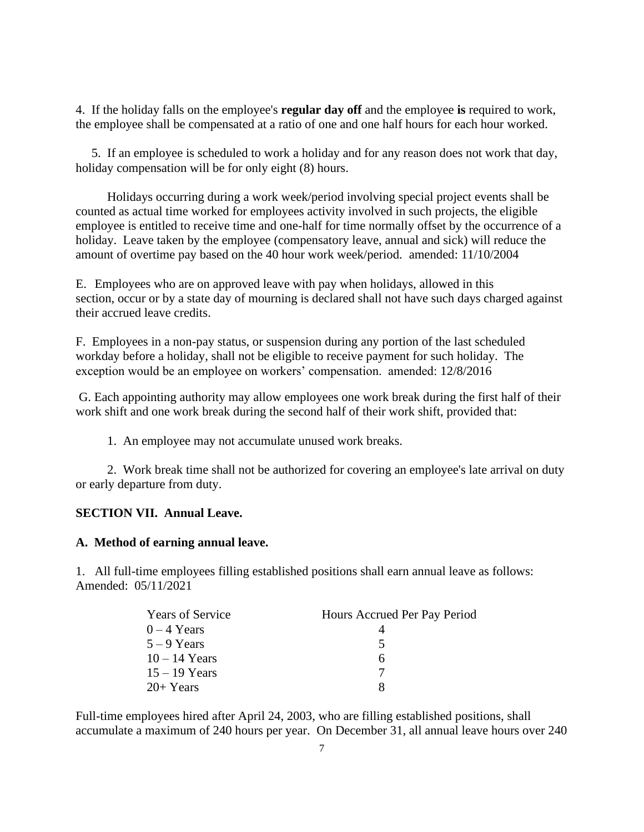4. If the holiday falls on the employee's **regular day off** and the employee **is** required to work, the employee shall be compensated at a ratio of one and one half hours for each hour worked.

 5. If an employee is scheduled to work a holiday and for any reason does not work that day, holiday compensation will be for only eight (8) hours.

 Holidays occurring during a work week/period involving special project events shall be counted as actual time worked for employees activity involved in such projects, the eligible employee is entitled to receive time and one-half for time normally offset by the occurrence of a holiday. Leave taken by the employee (compensatory leave, annual and sick) will reduce the amount of overtime pay based on the 40 hour work week/period. amended: 11/10/2004

E. Employees who are on approved leave with pay when holidays, allowed in this section, occur or by a state day of mourning is declared shall not have such days charged against their accrued leave credits.

F. Employees in a non-pay status, or suspension during any portion of the last scheduled workday before a holiday, shall not be eligible to receive payment for such holiday. The exception would be an employee on workers' compensation. amended: 12/8/2016

G. Each appointing authority may allow employees one work break during the first half of their work shift and one work break during the second half of their work shift, provided that:

1. An employee may not accumulate unused work breaks.

 2. Work break time shall not be authorized for covering an employee's late arrival on duty or early departure from duty.

## **SECTION VII. Annual Leave.**

#### **A. Method of earning annual leave.**

1. All full-time employees filling established positions shall earn annual leave as follows: Amended: 05/11/2021

| <b>Years of Service</b> | Hours Accrued Per Pay Period |
|-------------------------|------------------------------|
| $0 - 4$ Years           |                              |
| $5 - 9$ Years           |                              |
| $10 - 14$ Years         | h                            |
| $15 - 19$ Years         |                              |
| $20+Years$              |                              |

Full-time employees hired after April 24, 2003, who are filling established positions, shall accumulate a maximum of 240 hours per year. On December 31, all annual leave hours over 240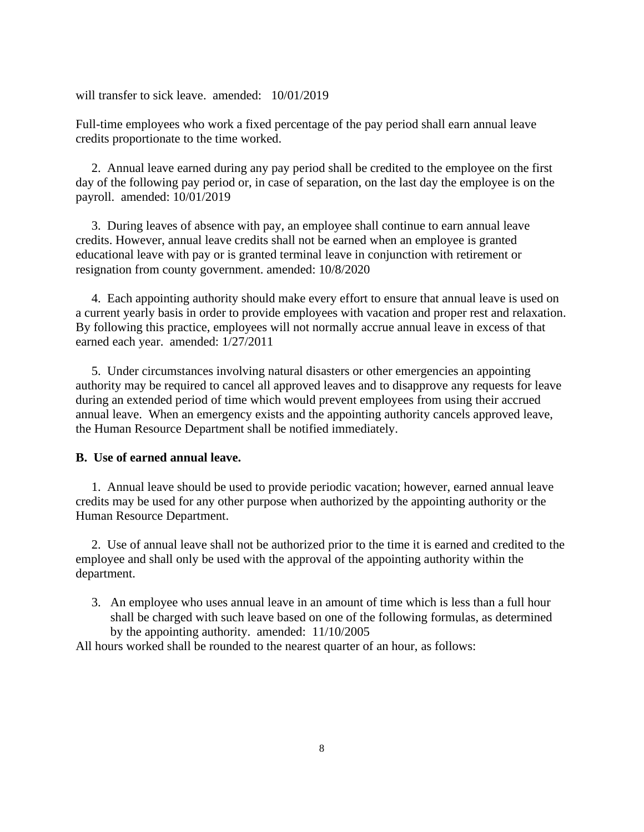will transfer to sick leave. amended: 10/01/2019

Full-time employees who work a fixed percentage of the pay period shall earn annual leave credits proportionate to the time worked.

 2. Annual leave earned during any pay period shall be credited to the employee on the first day of the following pay period or, in case of separation, on the last day the employee is on the payroll. amended: 10/01/2019

 3. During leaves of absence with pay, an employee shall continue to earn annual leave credits. However, annual leave credits shall not be earned when an employee is granted educational leave with pay or is granted terminal leave in conjunction with retirement or resignation from county government. amended: 10/8/2020

 4. Each appointing authority should make every effort to ensure that annual leave is used on a current yearly basis in order to provide employees with vacation and proper rest and relaxation. By following this practice, employees will not normally accrue annual leave in excess of that earned each year. amended: 1/27/2011

 5. Under circumstances involving natural disasters or other emergencies an appointing authority may be required to cancel all approved leaves and to disapprove any requests for leave during an extended period of time which would prevent employees from using their accrued annual leave. When an emergency exists and the appointing authority cancels approved leave, the Human Resource Department shall be notified immediately.

## **B. Use of earned annual leave.**

1. Annual leave should be used to provide periodic vacation; however, earned annual leave credits may be used for any other purpose when authorized by the appointing authority or the Human Resource Department.

 2. Use of annual leave shall not be authorized prior to the time it is earned and credited to the employee and shall only be used with the approval of the appointing authority within the department.

3. An employee who uses annual leave in an amount of time which is less than a full hour shall be charged with such leave based on one of the following formulas, as determined by the appointing authority. amended: 11/10/2005

All hours worked shall be rounded to the nearest quarter of an hour, as follows: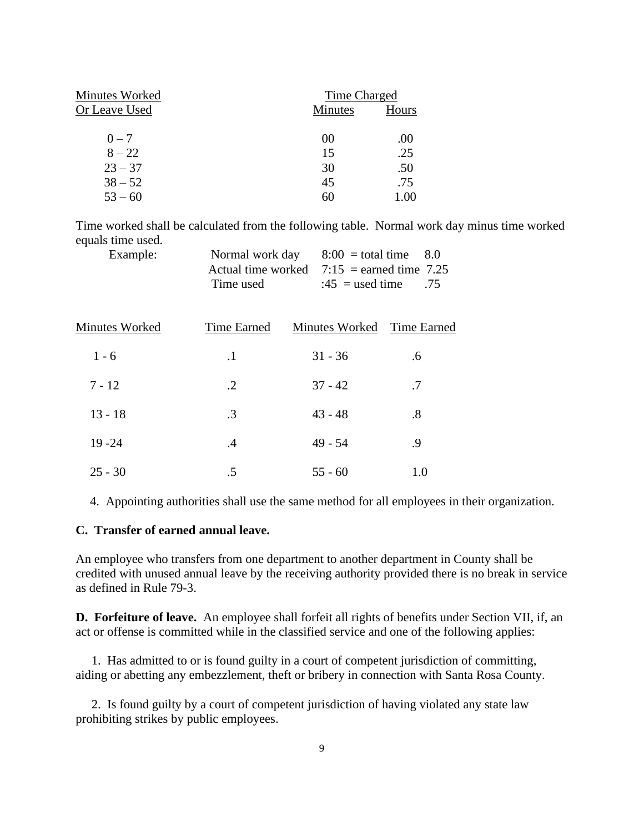| <b>Minutes</b> | Hours              |
|----------------|--------------------|
|                |                    |
|                | .00                |
| 15             | .25                |
| 30             | .50                |
| 45             | .75                |
| 60             | 1.00               |
|                | Time Charged<br>00 |

Time worked shall be calculated from the following table. Normal work day minus time worked equals time used.

| Example: |                                              | Normal work day $8:00 =$ total time $8.0$ |  |
|----------|----------------------------------------------|-------------------------------------------|--|
|          | Actual time worked $7:15$ = earned time 7.25 |                                           |  |
|          | Time used                                    | $:45$ = used time .75                     |  |

| Minutes Worked | Time Earned | Minutes Worked Time Earned |                   |
|----------------|-------------|----------------------------|-------------------|
| $1 - 6$        | $\cdot$     | $31 - 36$                  | .6                |
| $7 - 12$       | $\cdot$ .2  | $37 - 42$                  | .7                |
| $13 - 18$      | $\cdot$ 3   | $43 - 48$                  | $\boldsymbol{.8}$ |
| $19 - 24$      | .4          | $49 - 54$                  | .9                |
| $25 - 30$      | .5          | $55 - 60$                  | 1.0               |

4. Appointing authorities shall use the same method for all employees in their organization.

#### **C. Transfer of earned annual leave.**

An employee who transfers from one department to another department in County shall be credited with unused annual leave by the receiving authority provided there is no break in service as defined in Rule 79-3.

**D. Forfeiture of leave.** An employee shall forfeit all rights of benefits under Section VII, if, an act or offense is committed while in the classified service and one of the following applies:

 1. Has admitted to or is found guilty in a court of competent jurisdiction of committing, aiding or abetting any embezzlement, theft or bribery in connection with Santa Rosa County.

 2. Is found guilty by a court of competent jurisdiction of having violated any state law prohibiting strikes by public employees.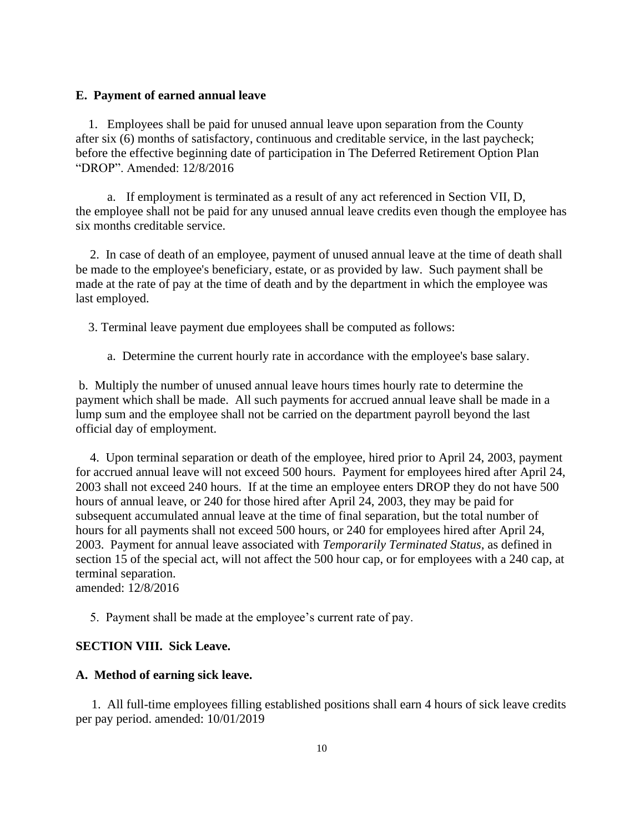#### **E. Payment of earned annual leave**

1. Employees shall be paid for unused annual leave upon separation from the County after six (6) months of satisfactory, continuous and creditable service, in the last paycheck; before the effective beginning date of participation in The Deferred Retirement Option Plan "DROP". Amended: 12/8/2016

a. If employment is terminated as a result of any act referenced in Section VII, D, the employee shall not be paid for any unused annual leave credits even though the employee has six months creditable service.

2. In case of death of an employee, payment of unused annual leave at the time of death shall be made to the employee's beneficiary, estate, or as provided by law. Such payment shall be made at the rate of pay at the time of death and by the department in which the employee was last employed.

3. Terminal leave payment due employees shall be computed as follows:

a. Determine the current hourly rate in accordance with the employee's base salary.

b. Multiply the number of unused annual leave hours times hourly rate to determine the payment which shall be made. All such payments for accrued annual leave shall be made in a lump sum and the employee shall not be carried on the department payroll beyond the last official day of employment.

4. Upon terminal separation or death of the employee, hired prior to April 24, 2003, payment for accrued annual leave will not exceed 500 hours. Payment for employees hired after April 24, 2003 shall not exceed 240 hours. If at the time an employee enters DROP they do not have 500 hours of annual leave, or 240 for those hired after April 24, 2003, they may be paid for subsequent accumulated annual leave at the time of final separation, but the total number of hours for all payments shall not exceed 500 hours, or 240 for employees hired after April 24, 2003. Payment for annual leave associated with *Temporarily Terminated Status,* as defined in section 15 of the special act, will not affect the 500 hour cap, or for employees with a 240 cap, at terminal separation. amended: 12/8/2016

5. Payment shall be made at the employee's current rate of pay.

#### **SECTION VIII. Sick Leave.**

### **A. Method of earning sick leave.**

 1. All full-time employees filling established positions shall earn 4 hours of sick leave credits per pay period. amended: 10/01/2019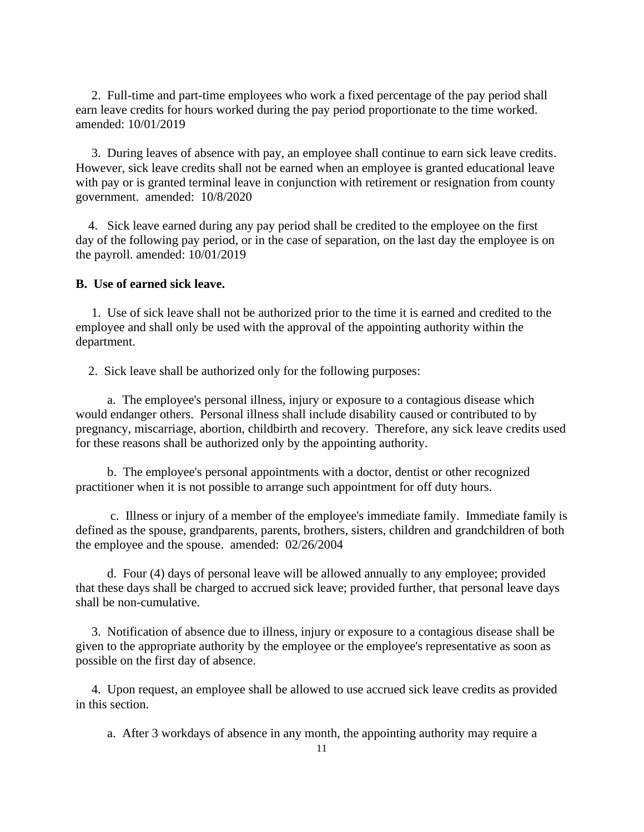2. Full-time and part-time employees who work a fixed percentage of the pay period shall earn leave credits for hours worked during the pay period proportionate to the time worked. amended: 10/01/2019

 3. During leaves of absence with pay, an employee shall continue to earn sick leave credits. However, sick leave credits shall not be earned when an employee is granted educational leave with pay or is granted terminal leave in conjunction with retirement or resignation from county government. amended: 10/8/2020

4. Sick leave earned during any pay period shall be credited to the employee on the first day of the following pay period, or in the case of separation, on the last day the employee is on the payroll. amended: 10/01/2019

## **B. Use of earned sick leave.**

 1. Use of sick leave shall not be authorized prior to the time it is earned and credited to the employee and shall only be used with the approval of the appointing authority within the department.

2. Sick leave shall be authorized only for the following purposes:

 a. The employee's personal illness, injury or exposure to a contagious disease which would endanger others. Personal illness shall include disability caused or contributed to by pregnancy, miscarriage, abortion, childbirth and recovery. Therefore, any sick leave credits used for these reasons shall be authorized only by the appointing authority.

 b. The employee's personal appointments with a doctor, dentist or other recognized practitioner when it is not possible to arrange such appointment for off duty hours.

 c. Illness or injury of a member of the employee's immediate family. Immediate family is defined as the spouse, grandparents, parents, brothers, sisters, children and grandchildren of both the employee and the spouse. amended: 02/26/2004

 d. Four (4) days of personal leave will be allowed annually to any employee; provided that these days shall be charged to accrued sick leave; provided further, that personal leave days shall be non-cumulative.

 3. Notification of absence due to illness, injury or exposure to a contagious disease shall be given to the appropriate authority by the employee or the employee's representative as soon as possible on the first day of absence.

 4. Upon request, an employee shall be allowed to use accrued sick leave credits as provided in this section.

a. After 3 workdays of absence in any month, the appointing authority may require a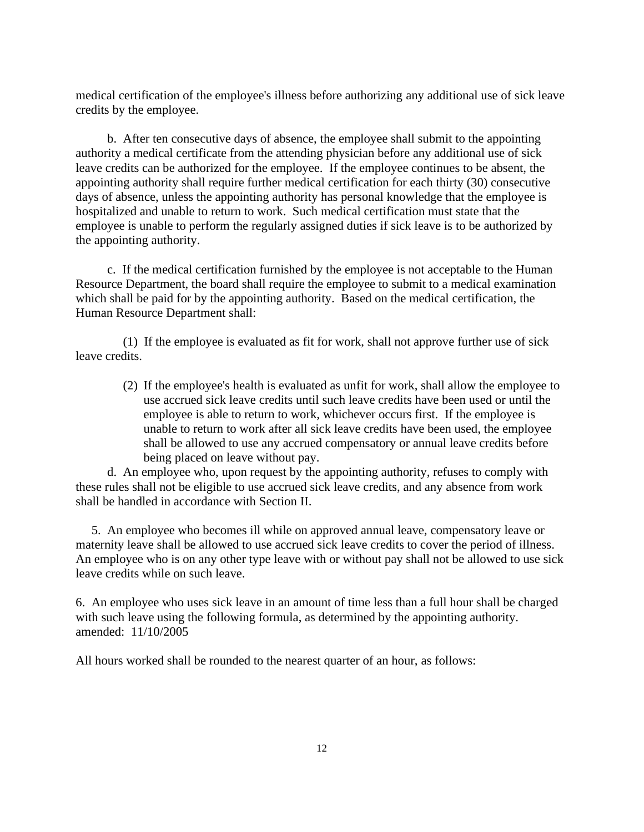medical certification of the employee's illness before authorizing any additional use of sick leave credits by the employee.

 b. After ten consecutive days of absence, the employee shall submit to the appointing authority a medical certificate from the attending physician before any additional use of sick leave credits can be authorized for the employee. If the employee continues to be absent, the appointing authority shall require further medical certification for each thirty (30) consecutive days of absence, unless the appointing authority has personal knowledge that the employee is hospitalized and unable to return to work. Such medical certification must state that the employee is unable to perform the regularly assigned duties if sick leave is to be authorized by the appointing authority.

 c. If the medical certification furnished by the employee is not acceptable to the Human Resource Department, the board shall require the employee to submit to a medical examination which shall be paid for by the appointing authority. Based on the medical certification, the Human Resource Department shall:

 (1) If the employee is evaluated as fit for work, shall not approve further use of sick leave credits.

(2) If the employee's health is evaluated as unfit for work, shall allow the employee to use accrued sick leave credits until such leave credits have been used or until the employee is able to return to work, whichever occurs first. If the employee is unable to return to work after all sick leave credits have been used, the employee shall be allowed to use any accrued compensatory or annual leave credits before being placed on leave without pay.

 d. An employee who, upon request by the appointing authority, refuses to comply with these rules shall not be eligible to use accrued sick leave credits, and any absence from work shall be handled in accordance with Section II.

 5. An employee who becomes ill while on approved annual leave, compensatory leave or maternity leave shall be allowed to use accrued sick leave credits to cover the period of illness. An employee who is on any other type leave with or without pay shall not be allowed to use sick leave credits while on such leave.

6. An employee who uses sick leave in an amount of time less than a full hour shall be charged with such leave using the following formula, as determined by the appointing authority. amended: 11/10/2005

All hours worked shall be rounded to the nearest quarter of an hour, as follows: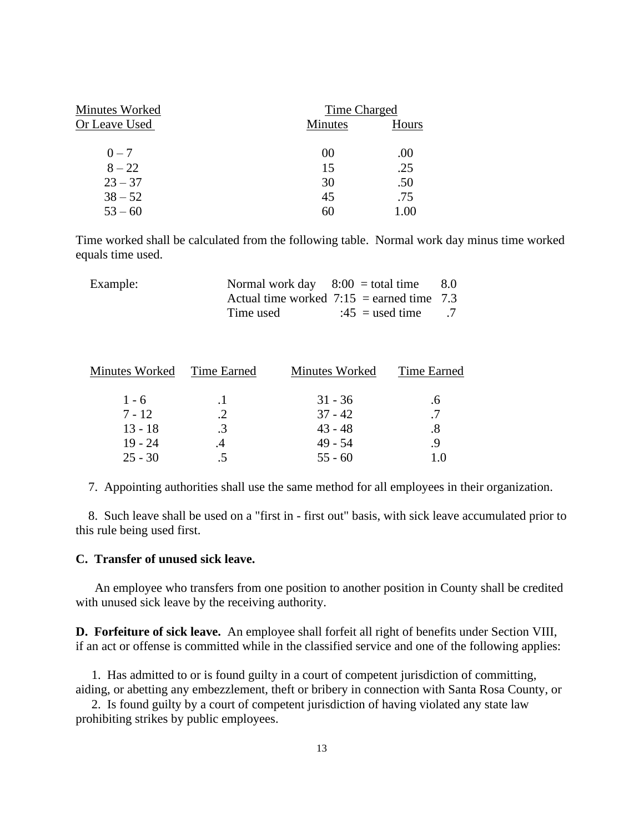| Minutes Worked | Time Charged   |       |
|----------------|----------------|-------|
| Or Leave Used  | <b>Minutes</b> | Hours |
|                |                |       |
| $0 - 7$        | 00             | .00   |
| $8 - 22$       | 15             | .25   |
| $23 - 37$      | 30             | .50   |
| $38 - 52$      | 45             | .75   |
| $53 - 60$      | 60             |       |

Time worked shall be calculated from the following table. Normal work day minus time worked equals time used.

| Example: | Normal work day $8:00 =$ total time |                                             | - 8.0 |
|----------|-------------------------------------|---------------------------------------------|-------|
|          |                                     | Actual time worked $7:15$ = earned time 7.3 |       |
|          | Time used                           | $:45$ = used time .7                        |       |

| Minutes Worked | Time Earned | Minutes Worked | Time Earned |
|----------------|-------------|----------------|-------------|
| $1 - 6$        |             | $31 - 36$      | .6          |
| $7 - 12$       | .2          | $37 - 42$      | .7          |
| $13 - 18$      | $\cdot$ 3   | $43 - 48$      | .8          |
| $19 - 24$      | .4          | $49 - 54$      | -9          |
| $25 - 30$      | .5          | $55 - 60$      | 1.0         |
|                |             |                |             |

7. Appointing authorities shall use the same method for all employees in their organization.

 8. Such leave shall be used on a "first in - first out" basis, with sick leave accumulated prior to this rule being used first.

### **C. Transfer of unused sick leave.**

 An employee who transfers from one position to another position in County shall be credited with unused sick leave by the receiving authority.

**D. Forfeiture of sick leave.** An employee shall forfeit all right of benefits under Section VIII, if an act or offense is committed while in the classified service and one of the following applies:

 1. Has admitted to or is found guilty in a court of competent jurisdiction of committing, aiding, or abetting any embezzlement, theft or bribery in connection with Santa Rosa County, or

 2. Is found guilty by a court of competent jurisdiction of having violated any state law prohibiting strikes by public employees.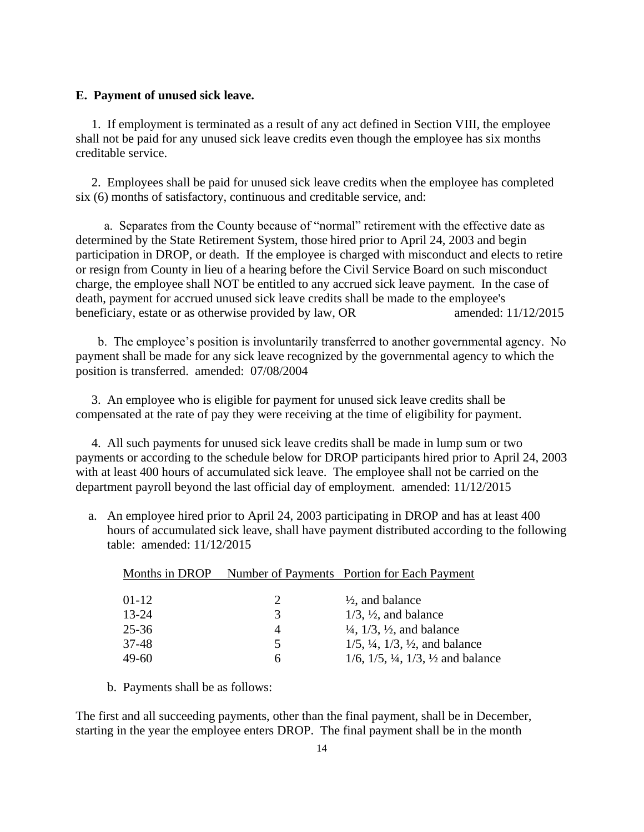## **E. Payment of unused sick leave.**

 1. If employment is terminated as a result of any act defined in Section VIII, the employee shall not be paid for any unused sick leave credits even though the employee has six months creditable service.

 2. Employees shall be paid for unused sick leave credits when the employee has completed six (6) months of satisfactory, continuous and creditable service, and:

 a. Separates from the County because of "normal" retirement with the effective date as determined by the State Retirement System, those hired prior to April 24, 2003 and begin participation in DROP, or death. If the employee is charged with misconduct and elects to retire or resign from County in lieu of a hearing before the Civil Service Board on such misconduct charge, the employee shall NOT be entitled to any accrued sick leave payment. In the case of death, payment for accrued unused sick leave credits shall be made to the employee's beneficiary, estate or as otherwise provided by law, OR amended:  $11/12/2015$ 

 b. The employee's position is involuntarily transferred to another governmental agency. No payment shall be made for any sick leave recognized by the governmental agency to which the position is transferred. amended: 07/08/2004

 3. An employee who is eligible for payment for unused sick leave credits shall be compensated at the rate of pay they were receiving at the time of eligibility for payment.

 4. All such payments for unused sick leave credits shall be made in lump sum or two payments or according to the schedule below for DROP participants hired prior to April 24, 2003 with at least 400 hours of accumulated sick leave. The employee shall not be carried on the department payroll beyond the last official day of employment. amended: 11/12/2015

a. An employee hired prior to April 24, 2003 participating in DROP and has at least 400 hours of accumulated sick leave, shall have payment distributed according to the following table: amended: 11/12/2015

| Months in DROP |   | Number of Payments Portion for Each Payment                       |
|----------------|---|-------------------------------------------------------------------|
| 01-12          | 2 | $\frac{1}{2}$ , and balance                                       |
| $13 - 24$      | 3 | $1/3$ , $1/2$ , and balance                                       |
| 25-36          | 4 | $\frac{1}{4}$ , $\frac{1}{3}$ , $\frac{1}{2}$ , and balance       |
| 37-48          | 5 | $1/5$ , $\frac{1}{4}$ , $1/3$ , $\frac{1}{2}$ , and balance       |
| 49-60          | h | $1/6$ , $1/5$ , $\frac{1}{4}$ , $1/3$ , $\frac{1}{2}$ and balance |

b. Payments shall be as follows:

The first and all succeeding payments, other than the final payment, shall be in December, starting in the year the employee enters DROP. The final payment shall be in the month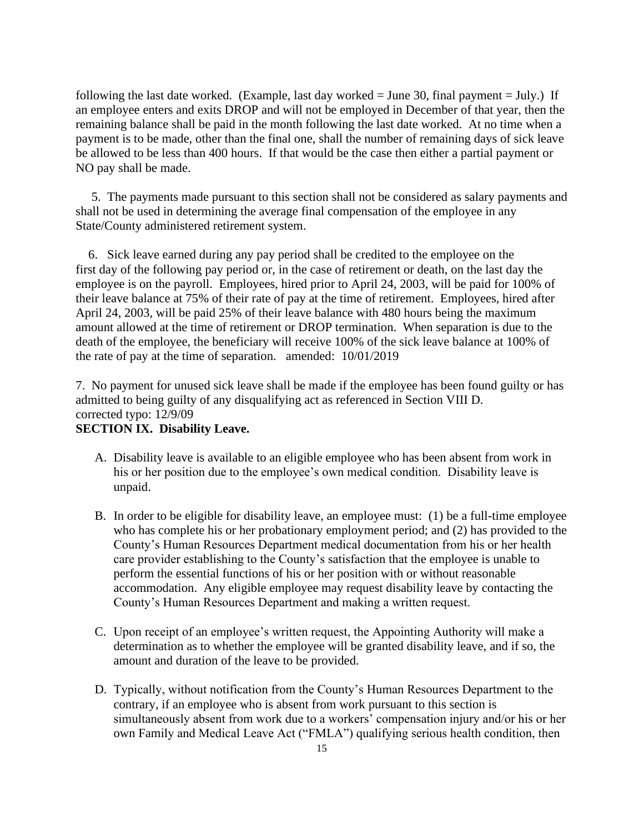following the last date worked. (Example, last day worked  $=$  June 30, final payment  $=$  July.) If an employee enters and exits DROP and will not be employed in December of that year, then the remaining balance shall be paid in the month following the last date worked. At no time when a payment is to be made, other than the final one, shall the number of remaining days of sick leave be allowed to be less than 400 hours. If that would be the case then either a partial payment or NO pay shall be made.

 5. The payments made pursuant to this section shall not be considered as salary payments and shall not be used in determining the average final compensation of the employee in any State/County administered retirement system.

6. Sick leave earned during any pay period shall be credited to the employee on the first day of the following pay period or, in the case of retirement or death, on the last day the employee is on the payroll. Employees, hired prior to April 24, 2003, will be paid for 100% of their leave balance at 75% of their rate of pay at the time of retirement. Employees, hired after April 24, 2003, will be paid 25% of their leave balance with 480 hours being the maximum amount allowed at the time of retirement or DROP termination. When separation is due to the death of the employee, the beneficiary will receive 100% of the sick leave balance at 100% of the rate of pay at the time of separation. amended: 10/01/2019

7. No payment for unused sick leave shall be made if the employee has been found guilty or has admitted to being guilty of any disqualifying act as referenced in Section VIII D. corrected typo: 12/9/09

# **SECTION IX. Disability Leave.**

- A. Disability leave is available to an eligible employee who has been absent from work in his or her position due to the employee's own medical condition. Disability leave is unpaid.
- B. In order to be eligible for disability leave, an employee must: (1) be a full-time employee who has complete his or her probationary employment period; and (2) has provided to the County's Human Resources Department medical documentation from his or her health care provider establishing to the County's satisfaction that the employee is unable to perform the essential functions of his or her position with or without reasonable accommodation. Any eligible employee may request disability leave by contacting the County's Human Resources Department and making a written request.
- C. Upon receipt of an employee's written request, the Appointing Authority will make a determination as to whether the employee will be granted disability leave, and if so, the amount and duration of the leave to be provided.
- D. Typically, without notification from the County's Human Resources Department to the contrary, if an employee who is absent from work pursuant to this section is simultaneously absent from work due to a workers' compensation injury and/or his or her own Family and Medical Leave Act ("FMLA") qualifying serious health condition, then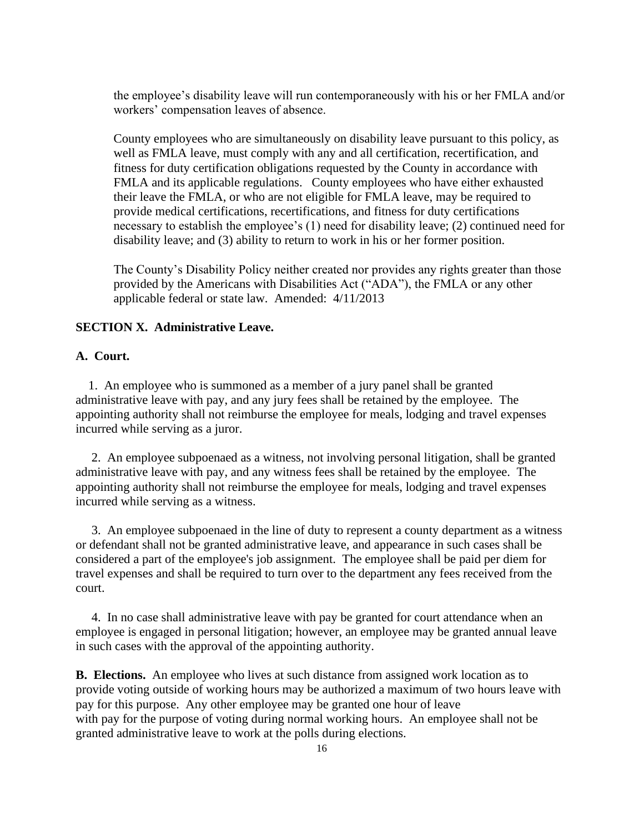the employee's disability leave will run contemporaneously with his or her FMLA and/or workers' compensation leaves of absence.

County employees who are simultaneously on disability leave pursuant to this policy, as well as FMLA leave, must comply with any and all certification, recertification, and fitness for duty certification obligations requested by the County in accordance with FMLA and its applicable regulations. County employees who have either exhausted their leave the FMLA, or who are not eligible for FMLA leave, may be required to provide medical certifications, recertifications, and fitness for duty certifications necessary to establish the employee's (1) need for disability leave; (2) continued need for disability leave; and (3) ability to return to work in his or her former position.

The County's Disability Policy neither created nor provides any rights greater than those provided by the Americans with Disabilities Act ("ADA"), the FMLA or any other applicable federal or state law. Amended: 4/11/2013

## **SECTION X. Administrative Leave.**

## **A. Court.**

 1. An employee who is summoned as a member of a jury panel shall be granted administrative leave with pay, and any jury fees shall be retained by the employee. The appointing authority shall not reimburse the employee for meals, lodging and travel expenses incurred while serving as a juror.

 2. An employee subpoenaed as a witness, not involving personal litigation, shall be granted administrative leave with pay, and any witness fees shall be retained by the employee. The appointing authority shall not reimburse the employee for meals, lodging and travel expenses incurred while serving as a witness.

 3. An employee subpoenaed in the line of duty to represent a county department as a witness or defendant shall not be granted administrative leave, and appearance in such cases shall be considered a part of the employee's job assignment. The employee shall be paid per diem for travel expenses and shall be required to turn over to the department any fees received from the court.

 4. In no case shall administrative leave with pay be granted for court attendance when an employee is engaged in personal litigation; however, an employee may be granted annual leave in such cases with the approval of the appointing authority.

**B. Elections.** An employee who lives at such distance from assigned work location as to provide voting outside of working hours may be authorized a maximum of two hours leave with pay for this purpose. Any other employee may be granted one hour of leave with pay for the purpose of voting during normal working hours. An employee shall not be granted administrative leave to work at the polls during elections.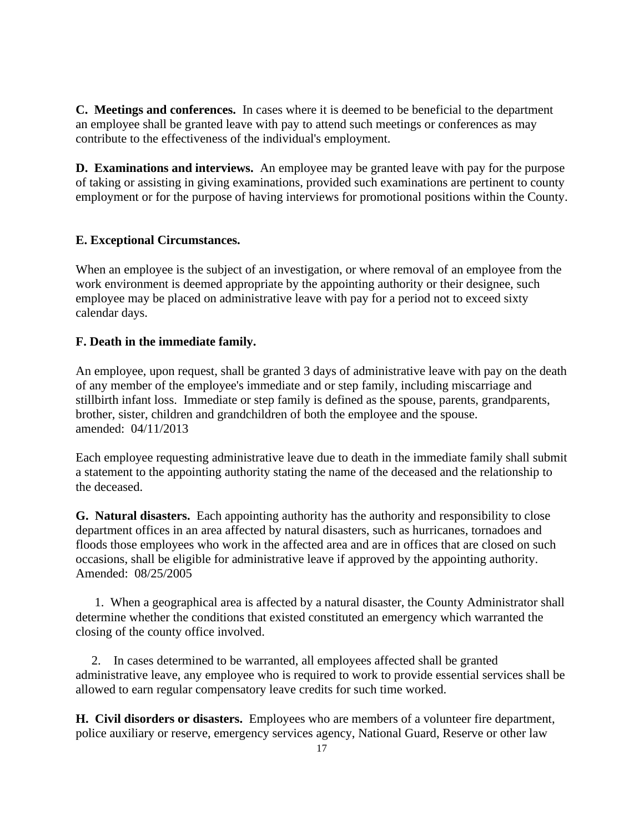**C. Meetings and conferences.** In cases where it is deemed to be beneficial to the department an employee shall be granted leave with pay to attend such meetings or conferences as may contribute to the effectiveness of the individual's employment.

**D. Examinations and interviews.** An employee may be granted leave with pay for the purpose of taking or assisting in giving examinations, provided such examinations are pertinent to county employment or for the purpose of having interviews for promotional positions within the County.

## **E. Exceptional Circumstances.**

When an employee is the subject of an investigation, or where removal of an employee from the work environment is deemed appropriate by the appointing authority or their designee, such employee may be placed on administrative leave with pay for a period not to exceed sixty calendar days.

## **F. Death in the immediate family.**

An employee, upon request, shall be granted 3 days of administrative leave with pay on the death of any member of the employee's immediate and or step family, including miscarriage and stillbirth infant loss. Immediate or step family is defined as the spouse, parents, grandparents, brother, sister, children and grandchildren of both the employee and the spouse. amended: 04/11/2013

Each employee requesting administrative leave due to death in the immediate family shall submit a statement to the appointing authority stating the name of the deceased and the relationship to the deceased.

**G. Natural disasters.** Each appointing authority has the authority and responsibility to close department offices in an area affected by natural disasters, such as hurricanes, tornadoes and floods those employees who work in the affected area and are in offices that are closed on such occasions, shall be eligible for administrative leave if approved by the appointing authority. Amended: 08/25/2005

 1. When a geographical area is affected by a natural disaster, the County Administrator shall determine whether the conditions that existed constituted an emergency which warranted the closing of the county office involved.

 2. In cases determined to be warranted, all employees affected shall be granted administrative leave, any employee who is required to work to provide essential services shall be allowed to earn regular compensatory leave credits for such time worked.

**H. Civil disorders or disasters.** Employees who are members of a volunteer fire department, police auxiliary or reserve, emergency services agency, National Guard, Reserve or other law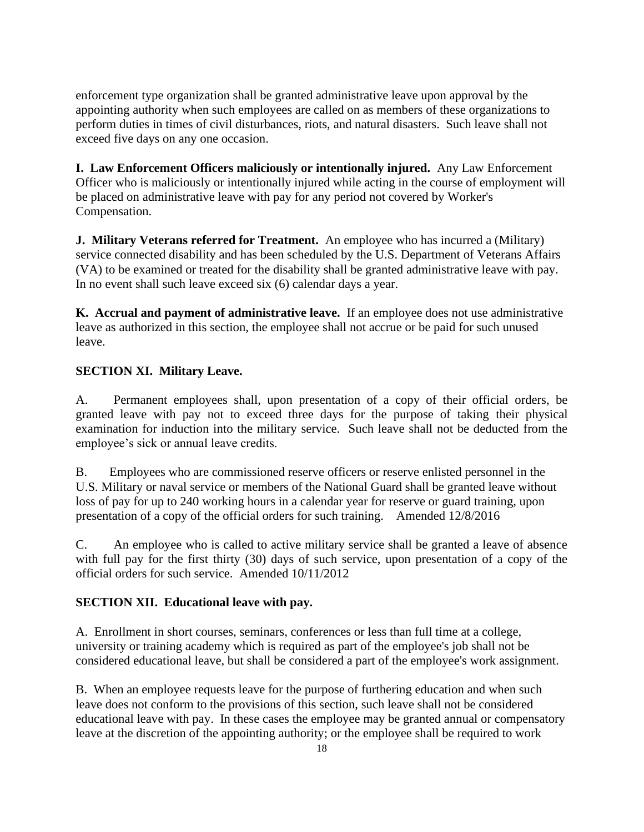enforcement type organization shall be granted administrative leave upon approval by the appointing authority when such employees are called on as members of these organizations to perform duties in times of civil disturbances, riots, and natural disasters. Such leave shall not exceed five days on any one occasion.

**I. Law Enforcement Officers maliciously or intentionally injured.** Any Law Enforcement Officer who is maliciously or intentionally injured while acting in the course of employment will be placed on administrative leave with pay for any period not covered by Worker's Compensation.

**J. Military Veterans referred for Treatment.** An employee who has incurred a (Military) service connected disability and has been scheduled by the U.S. Department of Veterans Affairs (VA) to be examined or treated for the disability shall be granted administrative leave with pay. In no event shall such leave exceed six (6) calendar days a year.

**K. Accrual and payment of administrative leave.** If an employee does not use administrative leave as authorized in this section, the employee shall not accrue or be paid for such unused leave.

## **SECTION XI. Military Leave.**

A. Permanent employees shall, upon presentation of a copy of their official orders, be granted leave with pay not to exceed three days for the purpose of taking their physical examination for induction into the military service. Such leave shall not be deducted from the employee's sick or annual leave credits.

B. Employees who are commissioned reserve officers or reserve enlisted personnel in the U.S. Military or naval service or members of the National Guard shall be granted leave without loss of pay for up to 240 working hours in a calendar year for reserve or guard training, upon presentation of a copy of the official orders for such training. Amended 12/8/2016

C. An employee who is called to active military service shall be granted a leave of absence with full pay for the first thirty (30) days of such service, upon presentation of a copy of the official orders for such service. Amended 10/11/2012

## **SECTION XII. Educational leave with pay.**

A. Enrollment in short courses, seminars, conferences or less than full time at a college, university or training academy which is required as part of the employee's job shall not be considered educational leave, but shall be considered a part of the employee's work assignment.

B. When an employee requests leave for the purpose of furthering education and when such leave does not conform to the provisions of this section, such leave shall not be considered educational leave with pay. In these cases the employee may be granted annual or compensatory leave at the discretion of the appointing authority; or the employee shall be required to work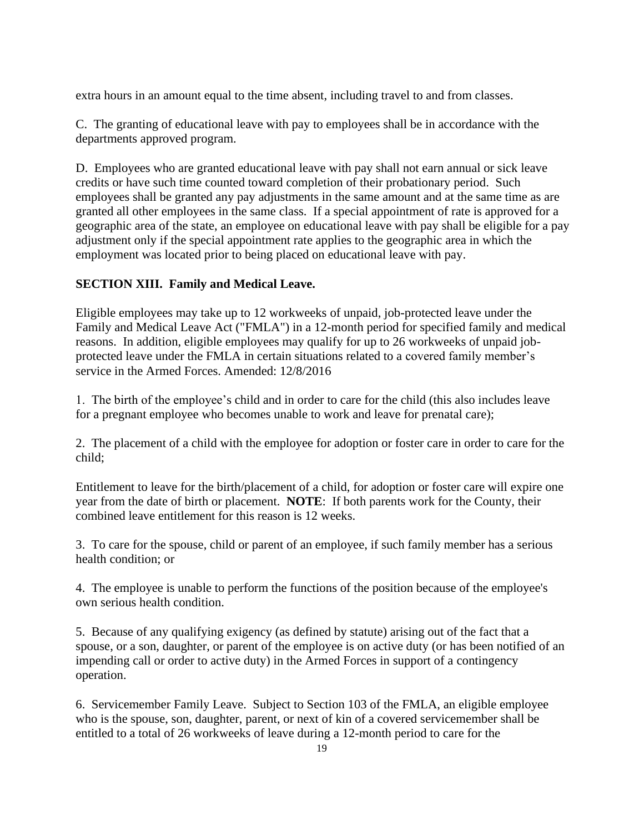extra hours in an amount equal to the time absent, including travel to and from classes.

C. The granting of educational leave with pay to employees shall be in accordance with the departments approved program.

D. Employees who are granted educational leave with pay shall not earn annual or sick leave credits or have such time counted toward completion of their probationary period. Such employees shall be granted any pay adjustments in the same amount and at the same time as are granted all other employees in the same class. If a special appointment of rate is approved for a geographic area of the state, an employee on educational leave with pay shall be eligible for a pay adjustment only if the special appointment rate applies to the geographic area in which the employment was located prior to being placed on educational leave with pay.

# **SECTION XIII. Family and Medical Leave.**

Eligible employees may take up to 12 workweeks of unpaid, job-protected leave under the Family and Medical Leave Act ("FMLA") in a 12-month period for specified family and medical reasons. In addition, eligible employees may qualify for up to 26 workweeks of unpaid jobprotected leave under the FMLA in certain situations related to a covered family member's service in the Armed Forces. Amended: 12/8/2016

1. The birth of the employee's child and in order to care for the child (this also includes leave for a pregnant employee who becomes unable to work and leave for prenatal care);

2. The placement of a child with the employee for adoption or foster care in order to care for the child;

Entitlement to leave for the birth/placement of a child, for adoption or foster care will expire one year from the date of birth or placement. **NOTE**: If both parents work for the County, their combined leave entitlement for this reason is 12 weeks.

3. To care for the spouse, child or parent of an employee, if such family member has a serious health condition; or

4. The employee is unable to perform the functions of the position because of the employee's own serious health condition.

5. Because of any qualifying exigency (as defined by statute) arising out of the fact that a spouse, or a son, daughter, or parent of the employee is on active duty (or has been notified of an impending call or order to active duty) in the Armed Forces in support of a contingency operation.

6. Servicemember Family Leave. Subject to Section 103 of the FMLA, an eligible employee who is the spouse, son, daughter, parent, or next of kin of a covered servicemember shall be entitled to a total of 26 workweeks of leave during a 12-month period to care for the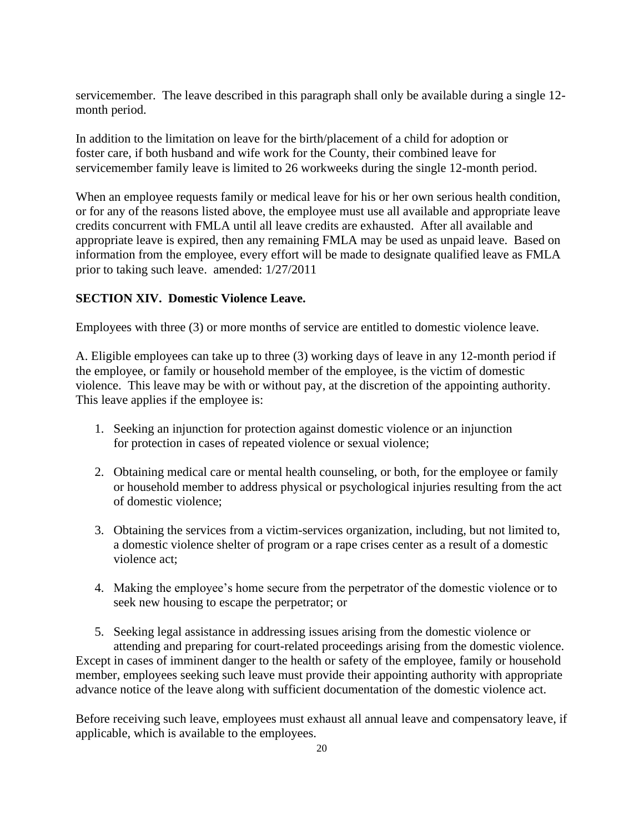servicemember. The leave described in this paragraph shall only be available during a single 12 month period.

In addition to the limitation on leave for the birth/placement of a child for adoption or foster care, if both husband and wife work for the County, their combined leave for servicemember family leave is limited to 26 workweeks during the single 12-month period.

When an employee requests family or medical leave for his or her own serious health condition, or for any of the reasons listed above, the employee must use all available and appropriate leave credits concurrent with FMLA until all leave credits are exhausted. After all available and appropriate leave is expired, then any remaining FMLA may be used as unpaid leave. Based on information from the employee, every effort will be made to designate qualified leave as FMLA prior to taking such leave. amended: 1/27/2011

## **SECTION XIV. Domestic Violence Leave.**

Employees with three (3) or more months of service are entitled to domestic violence leave.

A. Eligible employees can take up to three (3) working days of leave in any 12-month period if the employee, or family or household member of the employee, is the victim of domestic violence. This leave may be with or without pay, at the discretion of the appointing authority. This leave applies if the employee is:

- 1. Seeking an injunction for protection against domestic violence or an injunction for protection in cases of repeated violence or sexual violence;
- 2. Obtaining medical care or mental health counseling, or both, for the employee or family or household member to address physical or psychological injuries resulting from the act of domestic violence;
- 3. Obtaining the services from a victim-services organization, including, but not limited to, a domestic violence shelter of program or a rape crises center as a result of a domestic violence act;
- 4. Making the employee's home secure from the perpetrator of the domestic violence or to seek new housing to escape the perpetrator; or

5. Seeking legal assistance in addressing issues arising from the domestic violence or attending and preparing for court-related proceedings arising from the domestic violence. Except in cases of imminent danger to the health or safety of the employee, family or household member, employees seeking such leave must provide their appointing authority with appropriate advance notice of the leave along with sufficient documentation of the domestic violence act.

Before receiving such leave, employees must exhaust all annual leave and compensatory leave, if applicable, which is available to the employees.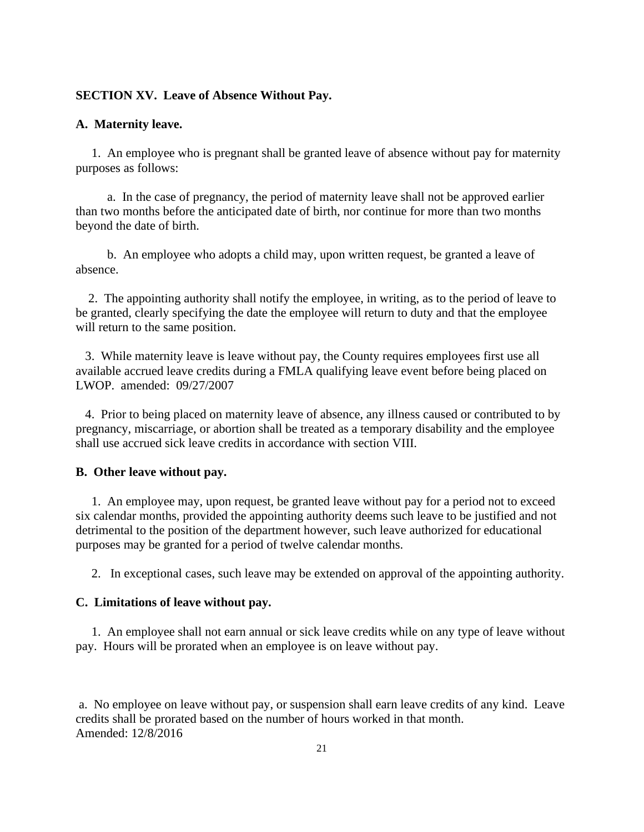#### **SECTION XV. Leave of Absence Without Pay.**

#### **A. Maternity leave.**

 1. An employee who is pregnant shall be granted leave of absence without pay for maternity purposes as follows:

 a. In the case of pregnancy, the period of maternity leave shall not be approved earlier than two months before the anticipated date of birth, nor continue for more than two months beyond the date of birth.

 b. An employee who adopts a child may, upon written request, be granted a leave of absence.

 2. The appointing authority shall notify the employee, in writing, as to the period of leave to be granted, clearly specifying the date the employee will return to duty and that the employee will return to the same position.

 3. While maternity leave is leave without pay, the County requires employees first use all available accrued leave credits during a FMLA qualifying leave event before being placed on LWOP. amended: 09/27/2007

 4. Prior to being placed on maternity leave of absence, any illness caused or contributed to by pregnancy, miscarriage, or abortion shall be treated as a temporary disability and the employee shall use accrued sick leave credits in accordance with section VIII.

#### **B. Other leave without pay.**

 1. An employee may, upon request, be granted leave without pay for a period not to exceed six calendar months, provided the appointing authority deems such leave to be justified and not detrimental to the position of the department however, such leave authorized for educational purposes may be granted for a period of twelve calendar months.

2. In exceptional cases, such leave may be extended on approval of the appointing authority.

## **C. Limitations of leave without pay.**

 1. An employee shall not earn annual or sick leave credits while on any type of leave without pay. Hours will be prorated when an employee is on leave without pay.

a. No employee on leave without pay, or suspension shall earn leave credits of any kind. Leave credits shall be prorated based on the number of hours worked in that month. Amended: 12/8/2016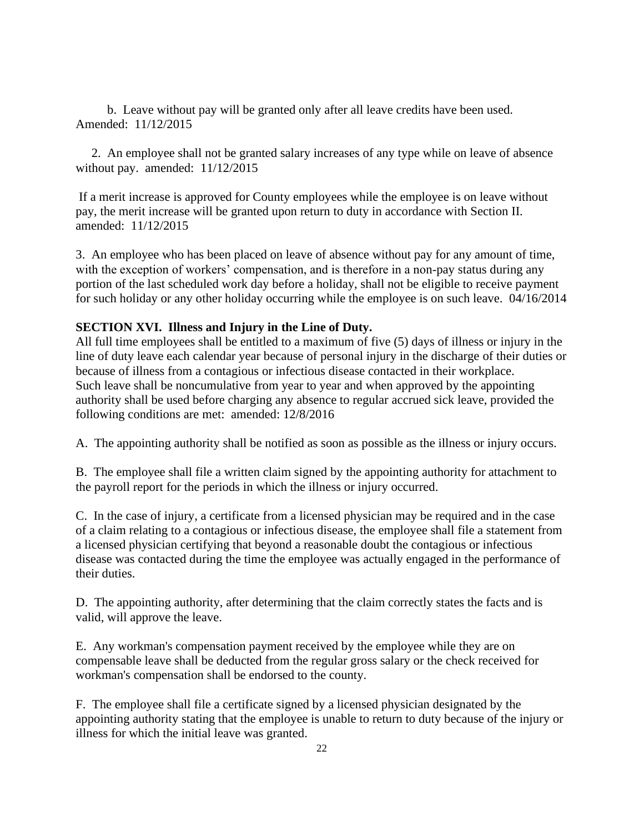b. Leave without pay will be granted only after all leave credits have been used. Amended: 11/12/2015

 2. An employee shall not be granted salary increases of any type while on leave of absence without pay. amended: 11/12/2015

If a merit increase is approved for County employees while the employee is on leave without pay, the merit increase will be granted upon return to duty in accordance with Section II. amended: 11/12/2015

3. An employee who has been placed on leave of absence without pay for any amount of time, with the exception of workers' compensation, and is therefore in a non-pay status during any portion of the last scheduled work day before a holiday, shall not be eligible to receive payment for such holiday or any other holiday occurring while the employee is on such leave. 04/16/2014

## **SECTION XVI. Illness and Injury in the Line of Duty.**

All full time employees shall be entitled to a maximum of five (5) days of illness or injury in the line of duty leave each calendar year because of personal injury in the discharge of their duties or because of illness from a contagious or infectious disease contacted in their workplace. Such leave shall be noncumulative from year to year and when approved by the appointing authority shall be used before charging any absence to regular accrued sick leave, provided the following conditions are met: amended: 12/8/2016

A. The appointing authority shall be notified as soon as possible as the illness or injury occurs.

B. The employee shall file a written claim signed by the appointing authority for attachment to the payroll report for the periods in which the illness or injury occurred.

C. In the case of injury, a certificate from a licensed physician may be required and in the case of a claim relating to a contagious or infectious disease, the employee shall file a statement from a licensed physician certifying that beyond a reasonable doubt the contagious or infectious disease was contacted during the time the employee was actually engaged in the performance of their duties.

D. The appointing authority, after determining that the claim correctly states the facts and is valid, will approve the leave.

E. Any workman's compensation payment received by the employee while they are on compensable leave shall be deducted from the regular gross salary or the check received for workman's compensation shall be endorsed to the county.

F. The employee shall file a certificate signed by a licensed physician designated by the appointing authority stating that the employee is unable to return to duty because of the injury or illness for which the initial leave was granted.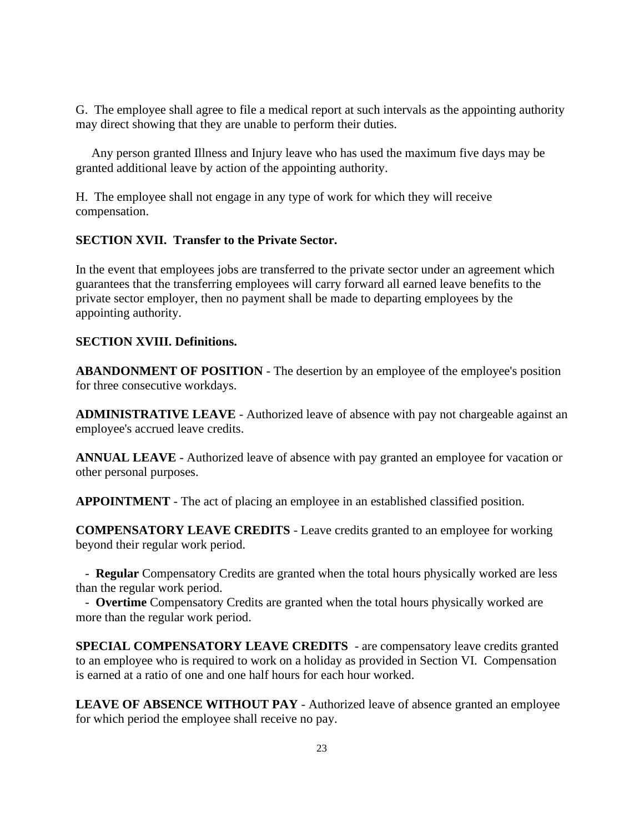G. The employee shall agree to file a medical report at such intervals as the appointing authority may direct showing that they are unable to perform their duties.

 Any person granted Illness and Injury leave who has used the maximum five days may be granted additional leave by action of the appointing authority.

H. The employee shall not engage in any type of work for which they will receive compensation.

## **SECTION XVII. Transfer to the Private Sector.**

In the event that employees jobs are transferred to the private sector under an agreement which guarantees that the transferring employees will carry forward all earned leave benefits to the private sector employer, then no payment shall be made to departing employees by the appointing authority.

## **SECTION XVIII. Definitions.**

**ABANDONMENT OF POSITION** - The desertion by an employee of the employee's position for three consecutive workdays.

**ADMINISTRATIVE LEAVE** - Authorized leave of absence with pay not chargeable against an employee's accrued leave credits.

**ANNUAL LEAVE** - Authorized leave of absence with pay granted an employee for vacation or other personal purposes.

**APPOINTMENT** - The act of placing an employee in an established classified position.

**COMPENSATORY LEAVE CREDITS** - Leave credits granted to an employee for working beyond their regular work period.

 - **Regular** Compensatory Credits are granted when the total hours physically worked are less than the regular work period.

 - **Overtime** Compensatory Credits are granted when the total hours physically worked are more than the regular work period.

**SPECIAL COMPENSATORY LEAVE CREDITS** - are compensatory leave credits granted to an employee who is required to work on a holiday as provided in Section VI. Compensation is earned at a ratio of one and one half hours for each hour worked.

**LEAVE OF ABSENCE WITHOUT PAY** - Authorized leave of absence granted an employee for which period the employee shall receive no pay.